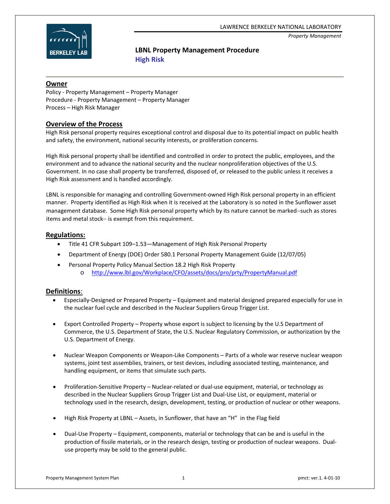#### LAWRENCE BERKELEY NATIONAL LABORATORY

*Property Management*



## **LBNL Property Management Procedure High Risk**

#### **Owner**

Policy ‐ Property Management – Property Manager Procedure ‐ Property Management – Property Manager Process – High Risk Manager

### **Overview of the Process**

High Risk personal property requires exceptional control and disposal due to its potential impact on public health and safety, the environment, national security interests, or proliferation concerns.

High Risk personal property shall be identified and controlled in order to protect the public, employees, and the environment and to advance the national security and the nuclear nonproliferation objectives of the U.S. Government. In no case shall property be transferred, disposed of, or released to the public unless it receives a High Risk assessment and is handled accordingly.

LBNL is responsible for managing and controlling Government-owned High Risk personal property in an efficient manner. Property identified as High Risk when it is received at the Laboratory is so noted in the Sunflower asset management database. Some High Risk personal property which by its nature cannot be marked−such as stores items and metal stock− is exempt from this requirement.

### **Regulations:**

- Title 41 CFR Subpart 109–1.53—Management of High Risk Personal Property
- Department of Energy (DOE) Order 580.1 Personal Property Management Guide (12/07/05)
- Personal Property Policy Manual Section 18.2 High Risk Property
	- o <http://www.lbl.gov/Workplace/CFO/assets/docs/pro/prty/PropertyManual.pdf>

### **Definitions**:

- Especially‐Designed or Prepared Property Equipment and material designed prepared especially for use in the nuclear fuel cycle and described in the Nuclear Suppliers Group Trigger List.
- Export Controlled Property Property whose export is subject to licensing by the U.S Department of Commerce, the U.S. Department of State, the U.S. Nuclear Regulatory Commission, or authorization by the U.S. Department of Energy.
- Nuclear Weapon Components or Weapon‐Like Components Parts of a whole war reserve nuclear weapon systems, joint test assemblies, trainers, or test devices, including associated testing, maintenance, and handling equipment, or items that simulate such parts.
- Proliferation‐Sensitive Property Nuclear‐related or dual‐use equipment, material, or technology as described in the Nuclear Suppliers Group Trigger List and Dual‐Use List, or equipment, material or technology used in the research, design, development, testing, or production of nuclear or other weapons.
- High Risk Property at LBNL Assets, in Sunflower, that have an "H" in the Flag field
- Dual‐Use Property Equipment, components, material or technology that can be and is useful in the production of fissile materials, or in the research design, testing or production of nuclear weapons. Dual‐ use property may be sold to the general public.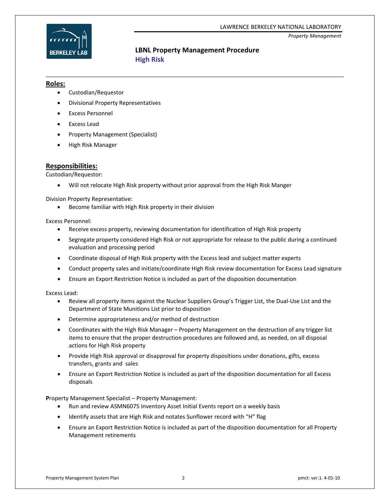#### LAWRENCE BERKELEY NATIONAL LABORATORY

*Property Management*



## **LBNL Property Management Procedure High Risk**

#### **Roles:**

- Custodian/Requestor
- Divisional Property Representatives
- Excess Personnel
- Excess Lead
- Property Management (Specialist)
- High Risk Manager

### **Responsibilities:**

Custodian/Requestor:

• Will not relocate High Risk property without prior approval from the High Risk Manger

Division Property Representative:

• Become familiar with High Risk property in their division

Excess Personnel:

- Receive excess property, reviewing documentation for identification of High Risk property
- Segregate property considered High Risk or not appropriate for release to the public during a continued evaluation and processing period
- Coordinate disposal of High Risk property with the Excess lead and subject matter experts
- Conduct property sales and initiate/coordinate High Risk review documentation for Excess Lead signature
- Ensure an Export Restriction Notice is included as part of the disposition documentation

Excess Lead:

- Review all property items against the Nuclear Suppliers Group's Trigger List, the Dual‐Use List and the Department of State Munitions List prior to disposition
- Determine appropriateness and/or method of destruction
- Coordinates with the High Risk Manager Property Management on the destruction of any trigger list items to ensure that the proper destruction procedures are followed and, as needed, on all disposal actions for High Risk property
- Provide High Risk approval or disapproval for property dispositions under donations, gifts, excess transfers, grants and sales
- Ensure an Export Restriction Notice is included as part of the disposition documentation for all Excess disposals

**P**roperty Management Specialist – Property Management:

- Run and review ASMN6075 Inventory Asset Initial Events report on a weekly basis
- Identify assets that are High Risk and notates Sunflower record with "H" flag
- Ensure an Export Restriction Notice is included as part of the disposition documentation for all Property Management retirements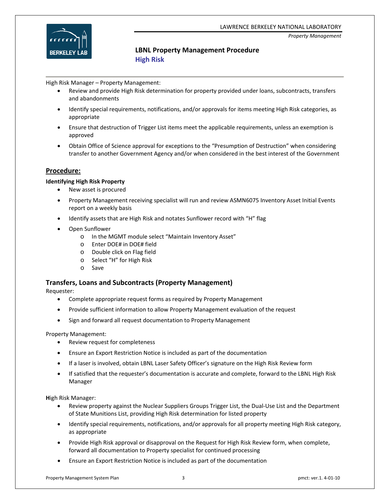



#### *Property Management*

## **LBNL Property Management Procedure High Risk**

High Risk Manager – Property Management:

- Review and provide High Risk determination for property provided under loans, subcontracts, transfers and abandonments
- Identify special requirements, notifications, and/or approvals for items meeting High Risk categories, as appropriate
- Ensure that destruction of Trigger List items meet the applicable requirements, unless an exemption is approved
- Obtain Office of Science approval for exceptions to the "Presumption of Destruction" when considering transfer to another Government Agency and/or when considered in the best interest of the Government

### **Procedure:**

#### **Identifying High Risk Property**

- New asset is procured
- Property Management receiving specialist will run and review ASMN6075 Inventory Asset Initial Events report on a weekly basis
- Identify assets that are High Risk and notates Sunflower record with "H" flag
- Open Sunflower
	- o In the MGMT module select "Maintain Inventory Asset"
	- o Enter DOE# in DOE# field
	- o Double click on Flag field
	- o Select "H" for High Risk
	- o Save

#### **Transfers, Loans and Subcontracts (Property Management)**

Requester:

- Complete appropriate request forms as required by Property Management
- Provide sufficient information to allow Property Management evaluation of the request
- Sign and forward all request documentation to Property Management

Property Management:

- Review request for completeness
- Ensure an Export Restriction Notice is included as part of the documentation
- If a laser is involved, obtain LBNL Laser Safety Officer's signature on the High Risk Review form
- If satisfied that the requester's documentation is accurate and complete, forward to the LBNL High Risk Manager

**H**igh Risk Manager:

- Review property against the Nuclear Suppliers Groups Trigger List, the Dual‐Use List and the Department of State Munitions List, providing High Risk determination for listed property
- Identify special requirements, notifications, and/or approvals for all property meeting High Risk category, as appropriate
- Provide High Risk approval or disapproval on the Request for High Risk Review form, when complete, forward all documentation to Property specialist for continued processing
- Ensure an Export Restriction Notice is included as part of the documentation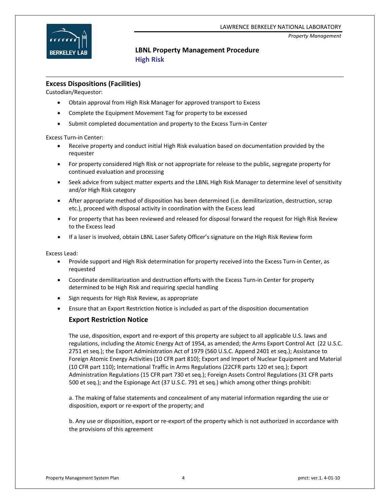



#### *Property Management*

## **LBNL Property Management Procedure High Risk**

#### **Excess Dispositions (Facilities)**

Custodian/Requestor:

- Obtain approval from High Risk Manager for approved transport to Excess
- Complete the Equipment Movement Tag for property to be excessed
- Submit completed documentation and property to the Excess Turn‐in Center

Excess Turn‐in Center:

- Receive property and conduct initial High Risk evaluation based on documentation provided by the requester
- For property considered High Risk or not appropriate for release to the public, segregate property for continued evaluation and processing
- Seek advice from subject matter experts and the LBNL High Risk Manager to determine level of sensitivity and/or High Risk category
- After appropriate method of disposition has been determined (i.e. demilitarization, destruction, scrap etc.), proceed with disposal activity in coordination with the Excess lead
- For property that has been reviewed and released for disposal forward the request for High Risk Review to the Excess lead
- If a laser is involved, obtain LBNL Laser Safety Officer's signature on the High Risk Review form

Excess Lead:

- Provide support and High Risk determination for property received into the Excess Turn‐in Center, as requested
- Coordinate demilitarization and destruction efforts with the Excess Turn-in Center for property determined to be High Risk and requiring special handling
- Sign requests for High Risk Review, as appropriate
- Ensure that an Export Restriction Notice is included as part of the disposition documentation

### **Export Restriction Notice**

The use, disposition, export and re‐export of this property are subject to all applicable U.S. laws and regulations, including the Atomic Energy Act of 1954, as amended; the Arms Export Control Act (22 U.S.C. 2751 et seq.); the Export Administration Act of 1979 (560 U.S.C. Append 2401 et seq.); Assistance to Foreign Atomic Energy Activities (10 CFR part 810); Export and Import of Nuclear Equipment and Material (10 CFR part 110); International Traffic in Arms Regulations (22CFR parts 120 et seq.); Export Administration Regulations (15 CFR part 730 et seq.); Foreign Assets Control Regulations (31 CFR parts 500 et seq.); and the Espionage Act (37 U.S.C. 791 et seq.) which among other things prohibit:

a. The making of false statements and concealment of any material information regarding the use or disposition, export or re‐export of the property; and

b. Any use or disposition, export or re‐export of the property which is not authorized in accordance with the provisions of this agreement